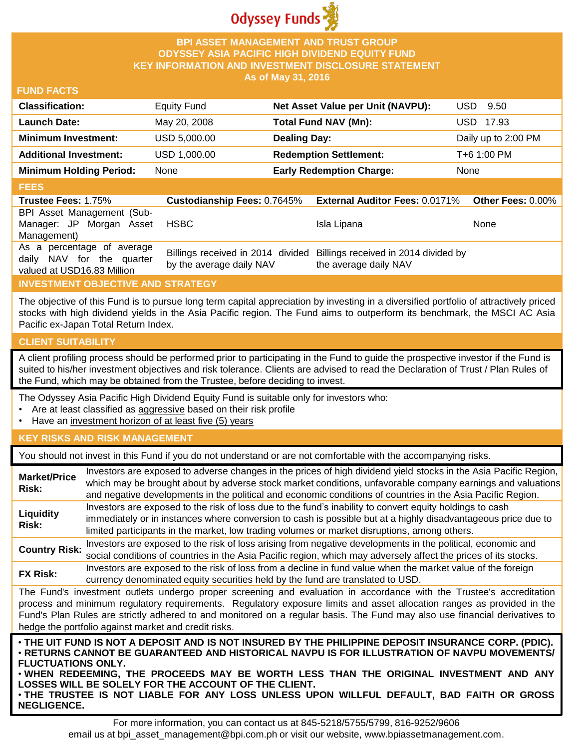

# **BPI ASSET MANAGEMENT AND TRUST GROUP ODYSSEY ASIA PACIFIC HIGH DIVIDEND EQUITY FUND KEY INFORMATION AND INVESTMENT DISCLOSURE STATEMENT As of May 31, 2016**

## **FUND FACTS**

| <b>Classification:</b>         | <b>Equity Fund</b> | Net Asset Value per Unit (NAVPU): | USD.<br>9.50        |
|--------------------------------|--------------------|-----------------------------------|---------------------|
| <b>Launch Date:</b>            | May 20, 2008       | <b>Total Fund NAV (Mn):</b>       | USD 17.93           |
| <b>Minimum Investment:</b>     | USD 5,000.00       | <b>Dealing Day:</b>               | Daily up to 2:00 PM |
| <b>Additional Investment:</b>  | USD 1,000.00       | <b>Redemption Settlement:</b>     | T+6 1:00 PM         |
| <b>Minimum Holding Period:</b> | None               | <b>Early Redemption Charge:</b>   | None                |

# **FEES**

| <b>Trustee Fees: 1.75%</b>                                                            | <b>Custodianship Fees: 0.7645%</b> | <b>External Auditor Fees: 0.0171% Other Fees: 0.00%</b>                                         |             |
|---------------------------------------------------------------------------------------|------------------------------------|-------------------------------------------------------------------------------------------------|-------------|
| BPI Asset Management (Sub-                                                            |                                    |                                                                                                 |             |
| Manager: JP Morgan Asset                                                              | HSBC                               | Isla Lipana                                                                                     | <b>None</b> |
| Management)                                                                           |                                    |                                                                                                 |             |
| As a percentage of average<br>daily NAV for the quarter<br>valued at USD16.83 Million | by the average daily NAV           | Billings received in 2014 divided Billings received in 2014 divided by<br>the average daily NAV |             |

# **INVESTMENT OBJECTIVE AND STRATEGY**

The objective of this Fund is to pursue long term capital appreciation by investing in a diversified portfolio of attractively priced stocks with high dividend yields in the Asia Pacific region. The Fund aims to outperform its benchmark, the MSCI AC Asia Pacific ex-Japan Total Return Index.

## **CLIENT SUITABILITY**

A client profiling process should be performed prior to participating in the Fund to guide the prospective investor if the Fund is suited to his/her investment objectives and risk tolerance. Clients are advised to read the Declaration of Trust / Plan Rules of the Fund, which may be obtained from the Trustee, before deciding to invest.

The Odyssey Asia Pacific High Dividend Equity Fund is suitable only for investors who:

- Are at least classified as aggressive based on their risk profile
- Have an investment horizon of at least five (5) years

## **KEY RISKS AND RISK MANAGEMENT**

You should not invest in this Fund if you do not understand or are not comfortable with the accompanying risks.

| <b>Market/Price</b><br>Risk:                                                                                                                                                                                                                                                                                                                                                                                                         | Investors are exposed to adverse changes in the prices of high dividend yield stocks in the Asia Pacific Region,<br>which may be brought about by adverse stock market conditions, unfavorable company earnings and valuations<br>and negative developments in the political and economic conditions of countries in the Asia Pacific Region. |  |  |
|--------------------------------------------------------------------------------------------------------------------------------------------------------------------------------------------------------------------------------------------------------------------------------------------------------------------------------------------------------------------------------------------------------------------------------------|-----------------------------------------------------------------------------------------------------------------------------------------------------------------------------------------------------------------------------------------------------------------------------------------------------------------------------------------------|--|--|
| Liquidity<br>Risk:                                                                                                                                                                                                                                                                                                                                                                                                                   | Investors are exposed to the risk of loss due to the fund's inability to convert equity holdings to cash<br>immediately or in instances where conversion to cash is possible but at a highly disadvantageous price due to<br>limited participants in the market, low trading volumes or market disruptions, among others.                     |  |  |
| <b>Country Risk:</b>                                                                                                                                                                                                                                                                                                                                                                                                                 | Investors are exposed to the risk of loss arising from negative developments in the political, economic and<br>social conditions of countries in the Asia Pacific region, which may adversely affect the prices of its stocks.                                                                                                                |  |  |
| <b>FX Risk:</b>                                                                                                                                                                                                                                                                                                                                                                                                                      | Investors are exposed to the risk of loss from a decline in fund value when the market value of the foreign<br>currency denominated equity securities held by the fund are translated to USD.                                                                                                                                                 |  |  |
| The Fund's investment outlets undergo proper screening and evaluation in accordance with the Trustee's accreditation<br>process and minimum regulatory requirements. Regulatory exposure limits and asset allocation ranges as provided in the<br>Fund's Plan Rules are strictly adhered to and monitored on a regular basis. The Fund may also use financial derivatives to<br>hedge the portfolio against market and credit risks. |                                                                                                                                                                                                                                                                                                                                               |  |  |
| . THE UIT FUND IS NOT A DEPOSIT AND IS NOT INSURED BY THE PHILIPPINE DEPOSIT INSURANCE CORP. (PDIC).<br><b>• RETURNS CANNOT BE GUARANTEED AND HISTORICAL NAVPU IS FOR ILLUSTRATION OF NAVPU MOVEMENTS/</b><br><b>FLUCTUATIONS ONLY.</b><br>. WHEN REDEEMING, THE PROCEEDS MAY BE WORTH LESS THAN THE ORIGINAL INVESTMENT AND ANY<br>OSSES WILL BE SOLELY FOR THE ACCOUNT OF THE CLIENT                                               |                                                                                                                                                                                                                                                                                                                                               |  |  |

**LOSSES WILL BE SOLELY FOR THE ACCOUNT OF THE CLIENT.** • **THE TRUSTEE IS NOT LIABLE FOR ANY LOSS UNLESS UPON WILLFUL DEFAULT, BAD FAITH OR GROSS NEGLIGENCE.**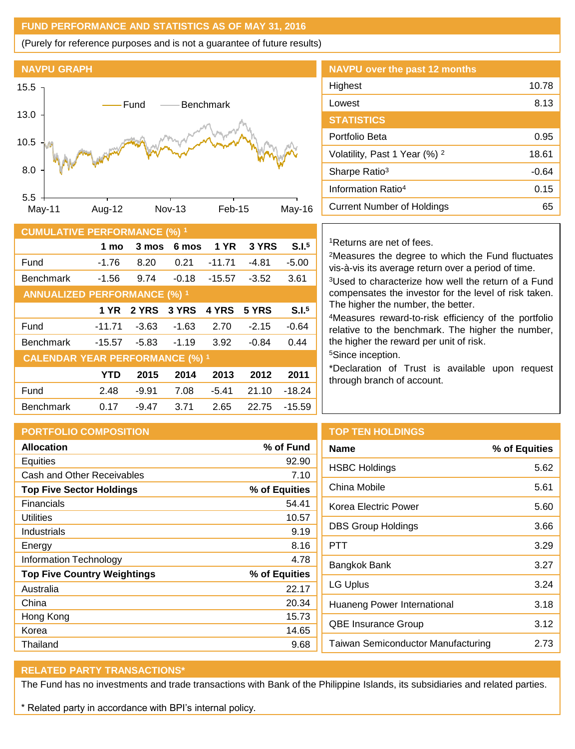# **FUND PERFORMANCE AND STATISTICS AS OF MAY 31, 2016**

(Purely for reference purposes and is not a guarantee of future results)



| <b>CUMULATIVE PERFORMANCE (%) 1</b>    |            |         |         |             |         |                   |
|----------------------------------------|------------|---------|---------|-------------|---------|-------------------|
|                                        | 1 mo       | 3 mos   | 6 mos   | <b>1 YR</b> | 3 YRS   | S.I. <sup>5</sup> |
| Fund                                   | $-1.76$    | 8.20    | 0.21    | $-11.71$    | $-4.81$ | $-5.00$           |
| <b>Benchmark</b>                       | $-1.56$    | 9.74    | $-0.18$ | $-15.57$    | $-3.52$ | 3.61              |
| <b>ANNUALIZED PERFORMANCE (%) 1</b>    |            |         |         |             |         |                   |
|                                        | 1 YR       | 2 YRS   | 3 YRS   | 4 YRS       | 5 YRS   | S.I. <sup>5</sup> |
| Fund                                   | $-11.71$   | $-3.63$ | $-1.63$ | 2.70        | $-2.15$ | $-0.64$           |
| <b>Benchmark</b>                       | $-15.57$   | $-5.83$ | $-1.19$ | 3.92        | $-0.84$ | 0.44              |
| <b>CALENDAR YEAR PERFORMANCE (%) 1</b> |            |         |         |             |         |                   |
|                                        | <b>YTD</b> | 2015    | 2014    | 2013        | 2012    | 2011              |
| Fund                                   | 2.48       | $-9.91$ | 7.08    | $-5.41$     | 21.10   | $-18.24$          |
| <b>Benchmark</b>                       | 0.17       | $-9.47$ | 3.71    | 2.65        | 22.75   | $-15.59$          |

# **NAVPU over the past 12 months** Highest 10.78 Lowest 8.13 **STATISTICS** Portfolio Beta 6.95 Volatility, Past 1 Year (%) <sup>2</sup> 18.61 Sharpe Ratio<sup>3</sup> -0.64 Information Ratio<sup>4</sup> 0.15 Current Number of Holdings 65

### <sup>1</sup>Returns are net of fees.

<sup>2</sup>Measures the degree to which the Fund fluctuates vis-à-vis its average return over a period of time.

<sup>3</sup>Used to characterize how well the return of a Fund compensates the investor for the level of risk taken. The higher the number, the better.

<sup>4</sup>Measures reward-to-risk efficiency of the portfolio relative to the benchmark. The higher the number, the higher the reward per unit of risk.

<sup>5</sup>Since inception.

\*Declaration of Trust is available upon request through branch of account.

| <b>PORTFOLIO COMPOSITION</b>       |               | <b>TOP T</b>     |  |
|------------------------------------|---------------|------------------|--|
| <b>Allocation</b>                  | % of Fund     | <b>Name</b>      |  |
| Equities                           | 92.90         | <b>HSBC</b>      |  |
| Cash and Other Receivables         | 7.10          |                  |  |
| <b>Top Five Sector Holdings</b>    | % of Equities | China            |  |
| <b>Financials</b>                  | 54.41         | Korea            |  |
| Utilities                          | 10.57         |                  |  |
| Industrials                        | 9.19          | DBS <sub>G</sub> |  |
| Energy                             | 8.16          | <b>PTT</b>       |  |
| Information Technology             | 4.78          | Bangk            |  |
| <b>Top Five Country Weightings</b> | % of Equities |                  |  |
| Australia                          | 22.17         | LG Up            |  |
| China                              | 20.34         | Huane            |  |
| Hong Kong                          | 15.73         |                  |  |
| Korea                              | 14.65         | QBE Ir           |  |
| Thailand                           | 9.68          | Taiwar           |  |
|                                    |               |                  |  |

# **EN HOLDINGS**

| Name                                      | % of Equities |
|-------------------------------------------|---------------|
| <b>HSBC Holdings</b>                      | 5.62          |
| China Mobile                              | 5.61          |
| Korea Electric Power                      | 5.60          |
| <b>DBS Group Holdings</b>                 | 3.66          |
| PTT                                       | 3.29          |
| Bangkok Bank                              | 3.27          |
| LG Uplus                                  | 3.24          |
| Huaneng Power International               | 3.18          |
| <b>QBE Insurance Group</b>                | 3.12          |
| <b>Taiwan Semiconductor Manufacturing</b> | 2.73          |
|                                           |               |

# **RELATED PARTY TRANSACTIONS\***

The Fund has no investments and trade transactions with Bank of the Philippine Islands, its subsidiaries and related parties.

\* Related party in accordance with BPI's internal policy.